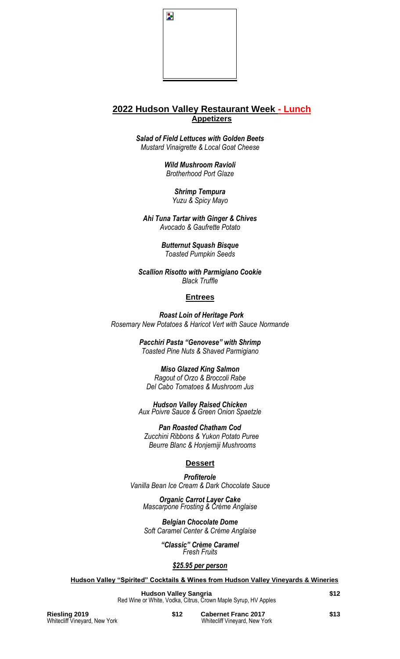

# **2022 Hudson Valley Restaurant Week - Lunch Appetizers**

*Salad of Field Lettuces with Golden Beets Mustard Vinaigrette & Local Goat Cheese*

> *Wild Mushroom Ravioli Brotherhood Port Glaze*

> > *Shrimp Tempura Yuzu & Spicy Mayo*

*Ahi Tuna Tartar with Ginger & Chives Avocado & Gaufrette Potato*

> *Butternut Squash Bisque Toasted Pumpkin Seeds*

*Scallion Risotto with Parmigiano Cookie Black Truffle* 

## **Entrees**

*Roast Loin of Heritage Pork Rosemary New Potatoes & Haricot Vert with Sauce Normande*

> *Pacchiri Pasta "Genovese" with Shrimp Toasted Pine Nuts & Shaved Parmigiano*

> > *Miso Glazed King Salmon Ragout of Orzo & Broccoli Rabe*

*Del Cabo Tomatoes & Mushroom Jus*

*Hudson Valley Raised Chicken Aux Poivre Sauce & Green Onion Spaetzle*

*Pan Roasted Chatham Cod Zucchini Ribbons & Yukon Potato Puree Beurre Blanc & Honjemiji Mushrooms*

## **Dessert**

*Profiterole Vanilla Bean Ice Cream & Dark Chocolate Sauce*

*Organic Carrot Layer Cake Mascarpone Frosting & Crème Anglaise*

*Belgian Chocolate Dome Soft Caramel Center & Crème Anglaise*

> *"Classic" Crème Caramel Fresh Fruits*

### *\$25.95 per person*

**Hudson Valley "Spirited" Cocktails & Wines from Hudson Valley Vineyards & Wineries**

**Hudson Valley Sangria \$12** Red Wine or White, Vodka, Citrus, Crown Maple Syrup, HV Apples

**Riesling 2019 \$12 Cabernet Franc 2017 \$13 Whitecliff Vineyard, New York \$13 Whitecliff Vineyard, New York** Whitecliff Vineyard, New York